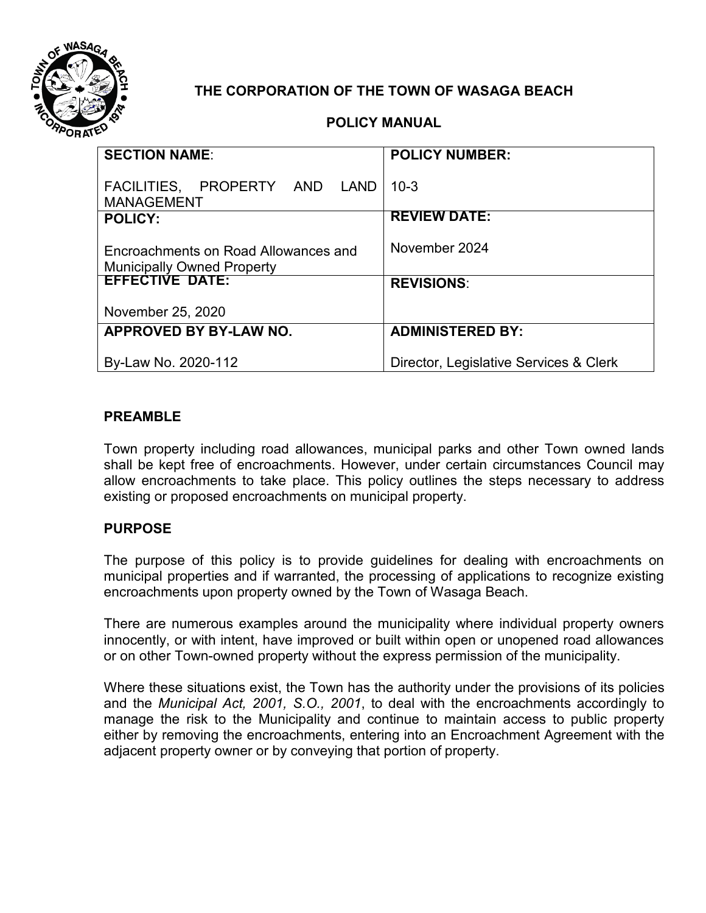

## **THE CORPORATION OF THE TOWN OF WASAGA BEACH**

### **POLICY MANUAL**

| <b>SECTION NAME:</b>                                                      | <b>POLICY NUMBER:</b>                  |
|---------------------------------------------------------------------------|----------------------------------------|
| FACILITIES, PROPERTY AND<br><b>LAND</b><br><b>MANAGEMENT</b>              | $10-3$                                 |
| <b>POLICY:</b>                                                            | <b>REVIEW DATE:</b>                    |
| Encroachments on Road Allowances and<br><b>Municipally Owned Property</b> | November 2024                          |
| <b>EFFECTIVE DATE:</b>                                                    | <b>REVISIONS:</b>                      |
| November 25, 2020                                                         |                                        |
| APPROVED BY BY-LAW NO.                                                    | <b>ADMINISTERED BY:</b>                |
| By-Law No. 2020-112                                                       | Director, Legislative Services & Clerk |

### **PREAMBLE**

Town property including road allowances, municipal parks and other Town owned lands shall be kept free of encroachments. However, under certain circumstances Council may allow encroachments to take place. This policy outlines the steps necessary to address existing or proposed encroachments on municipal property.

#### **PURPOSE**

The purpose of this policy is to provide guidelines for dealing with encroachments on municipal properties and if warranted, the processing of applications to recognize existing encroachments upon property owned by the Town of Wasaga Beach.

There are numerous examples around the municipality where individual property owners innocently, or with intent, have improved or built within open or unopened road allowances or on other Town-owned property without the express permission of the municipality.

Where these situations exist, the Town has the authority under the provisions of its policies and the *Municipal Act, 2001, S.O., 2001*, to deal with the encroachments accordingly to manage the risk to the Municipality and continue to maintain access to public property either by removing the encroachments, entering into an Encroachment Agreement with the adjacent property owner or by conveying that portion of property.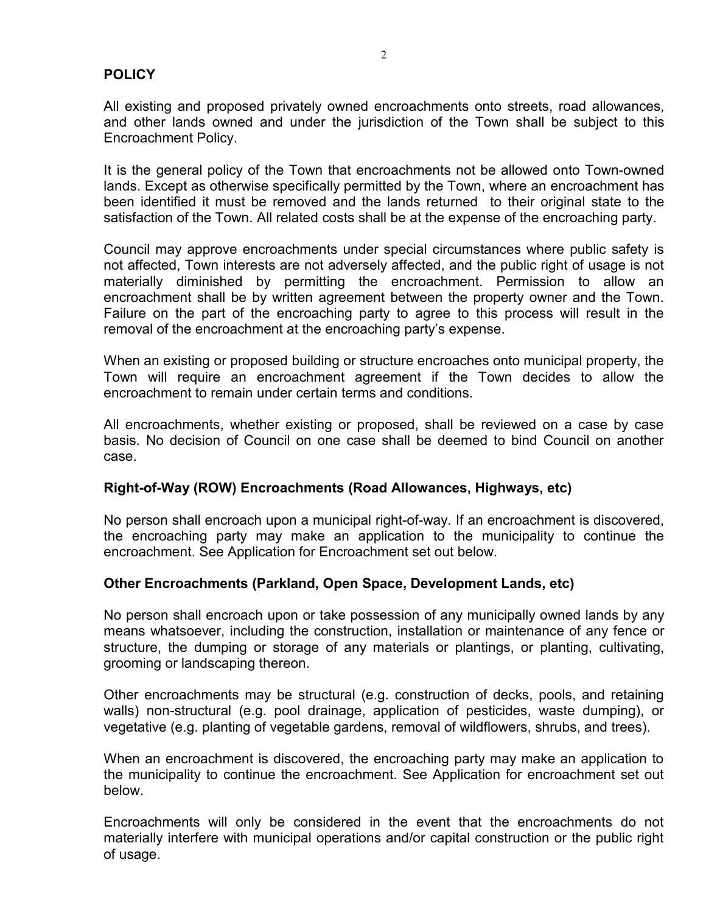#### **POLICY**

All existing and proposed privately owned encroachments onto streets, road allowances, and other lands owned and under the jurisdiction of the Town shall be subject to this Encroachment Policy.

It is the general policy of the Town that encroachments not be allowed onto Town-owned lands. Except as otherwise specifically permitted by the Town, where an encroachment has been identified it must be removed and the lands returned to their original state to the satisfaction of the Town. All related costs shall be at the expense of the encroaching party.

Council may approve encroachments under special circumstances where public safety is not affected, Town interests are not adversely affected, and the public right of usage is not materially diminished by permitting the encroachment. Permission to allow an encroachment shall be by written agreement between the property owner and the Town. Failure on the part of the encroaching party to agree to this process will result in the removal of the encroachment at the encroaching party's expense.

When an existing or proposed building or structure encroaches onto municipal property, the Town will require an encroachment agreement if the Town decides to allow the encroachment to remain under certain terms and conditions.

All encroachments, whether existing or proposed, shall be reviewed on a case by case basis. No decision of Council on one case shall be deemed to bind Council on another case.

#### **Right-of-Way (ROW) Encroachments (Road Allowances, Highways, etc)**

No person shall encroach upon a municipal right-of-way. If an encroachment is discovered, the encroaching party may make an application to the municipality to continue the encroachment. See Application for Encroachment set out below.

#### **Other Encroachments (Parkland, Open Space, Development Lands, etc)**

No person shall encroach upon or take possession of any municipally owned lands by any means whatsoever, including the construction, installation or maintenance of any fence or structure, the dumping or storage of any materials or plantings, or planting, cultivating, grooming or landscaping thereon.

Other encroachments may be structural (e.g. construction of decks, pools, and retaining walls) non-structural (e.g. pool drainage, application of pesticides, waste dumping), or vegetative (e.g. planting of vegetable gardens, removal of wildflowers, shrubs, and trees).

When an encroachment is discovered, the encroaching party may make an application to the municipality to continue the encroachment. See Application for encroachment set out below.

Encroachments will only be considered in the event that the encroachments do not materially interfere with municipal operations and/or capital construction or the public right of usage.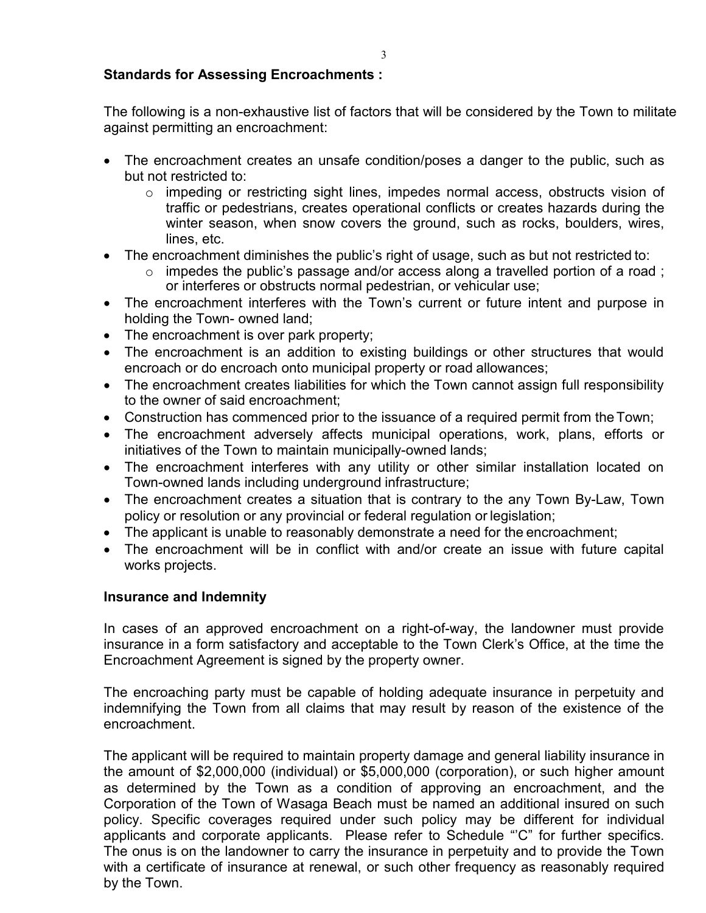#### **Standards for Assessing Encroachments :**

The following is a non-exhaustive list of factors that will be considered by the Town to militate against permitting an encroachment:

- The encroachment creates an unsafe condition/poses a danger to the public, such as but not restricted to:
	- o impeding or restricting sight lines, impedes normal access, obstructs vision of traffic or pedestrians, creates operational conflicts or creates hazards during the winter season, when snow covers the ground, such as rocks, boulders, wires, lines, etc.
- The encroachment diminishes the public's right of usage, such as but not restricted to:
	- o impedes the public's passage and/or access along a travelled portion of a road ; or interferes or obstructs normal pedestrian, or vehicular use;
- The encroachment interferes with the Town's current or future intent and purpose in holding the Town- owned land;
- The encroachment is over park property;
- The encroachment is an addition to existing buildings or other structures that would encroach or do encroach onto municipal property or road allowances;
- The encroachment creates liabilities for which the Town cannot assign full responsibility to the owner of said encroachment;
- Construction has commenced prior to the issuance of a required permit from the Town;
- The encroachment adversely affects municipal operations, work, plans, efforts or initiatives of the Town to maintain municipally-owned lands;
- The encroachment interferes with any utility or other similar installation located on Town-owned lands including underground infrastructure;
- The encroachment creates a situation that is contrary to the any Town By-Law, Town policy or resolution or any provincial or federal regulation or legislation;
- The applicant is unable to reasonably demonstrate a need for the encroachment;
- The encroachment will be in conflict with and/or create an issue with future capital works projects.

#### **Insurance and Indemnity**

In cases of an approved encroachment on a right-of-way, the landowner must provide insurance in a form satisfactory and acceptable to the Town Clerk's Office, at the time the Encroachment Agreement is signed by the property owner.

The encroaching party must be capable of holding adequate insurance in perpetuity and indemnifying the Town from all claims that may result by reason of the existence of the encroachment.

The applicant will be required to maintain property damage and general liability insurance in the amount of \$2,000,000 (individual) or \$5,000,000 (corporation), or such higher amount as determined by the Town as a condition of approving an encroachment, and the Corporation of the Town of Wasaga Beach must be named an additional insured on such policy. Specific coverages required under such policy may be different for individual applicants and corporate applicants. Please refer to Schedule "'C" for further specifics. The onus is on the landowner to carry the insurance in perpetuity and to provide the Town with a certificate of insurance at renewal, or such other frequency as reasonably required by the Town.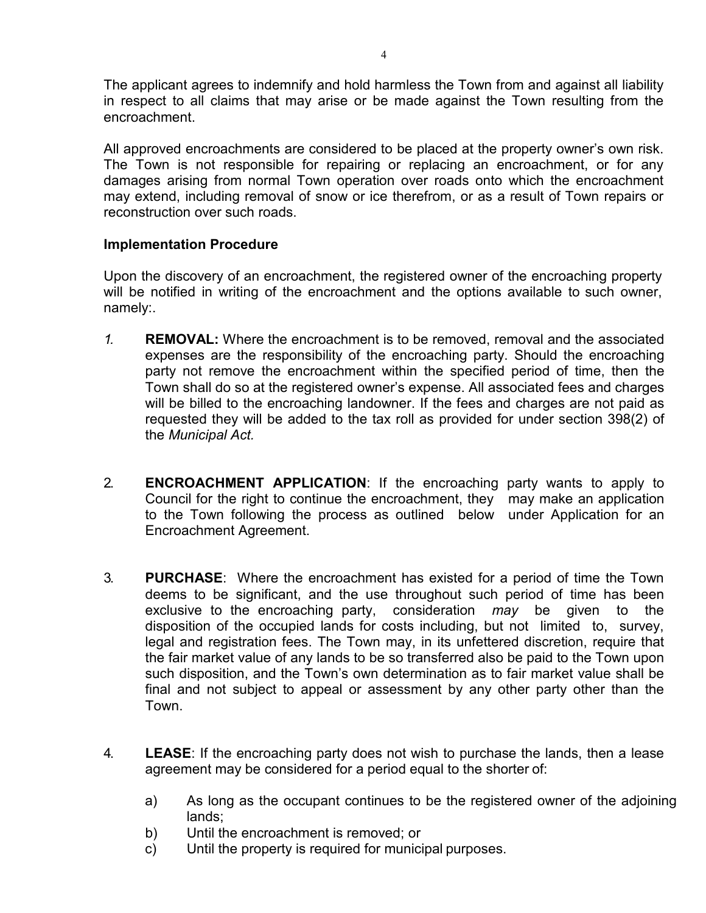The applicant agrees to indemnify and hold harmless the Town from and against all liability in respect to all claims that may arise or be made against the Town resulting from the encroachment.

All approved encroachments are considered to be placed at the property owner's own risk. The Town is not responsible for repairing or replacing an encroachment, or for any damages arising from normal Town operation over roads onto which the encroachment may extend, including removal of snow or ice therefrom, or as a result of Town repairs or reconstruction over such roads.

#### **Implementation Procedure**

Upon the discovery of an encroachment, the registered owner of the encroaching property will be notified in writing of the encroachment and the options available to such owner, namely:.

- *1.* **REMOVAL:** Where the encroachment is to be removed, removal and the associated expenses are the responsibility of the encroaching party. Should the encroaching party not remove the encroachment within the specified period of time, then the Town shall do so at the registered owner's expense. All associated fees and charges will be billed to the encroaching landowner. If the fees and charges are not paid as requested they will be added to the tax roll as provided for under section 398(2) of the *Municipal Act.*
- 2. **ENCROACHMENT APPLICATION**: If the encroaching party wants to apply to Council for the right to continue the encroachment, they may make an application to the Town following the process as outlined below under Application for an Encroachment Agreement.
- 3. **PURCHASE**: Where the encroachment has existed for a period of time the Town deems to be significant, and the use throughout such period of time has been exclusive to the encroaching party, consideration *may* be given to the disposition of the occupied lands for costs including, but not limited to, survey, legal and registration fees. The Town may, in its unfettered discretion, require that the fair market value of any lands to be so transferred also be paid to the Town upon such disposition, and the Town's own determination as to fair market value shall be final and not subject to appeal or assessment by any other party other than the Town.
- 4. **LEASE**: If the encroaching party does not wish to purchase the lands, then a lease agreement may be considered for a period equal to the shorter of:
	- a) As long as the occupant continues to be the registered owner of the adjoining lands;
	- b) Until the encroachment is removed; or
	- c) Until the property is required for municipal purposes.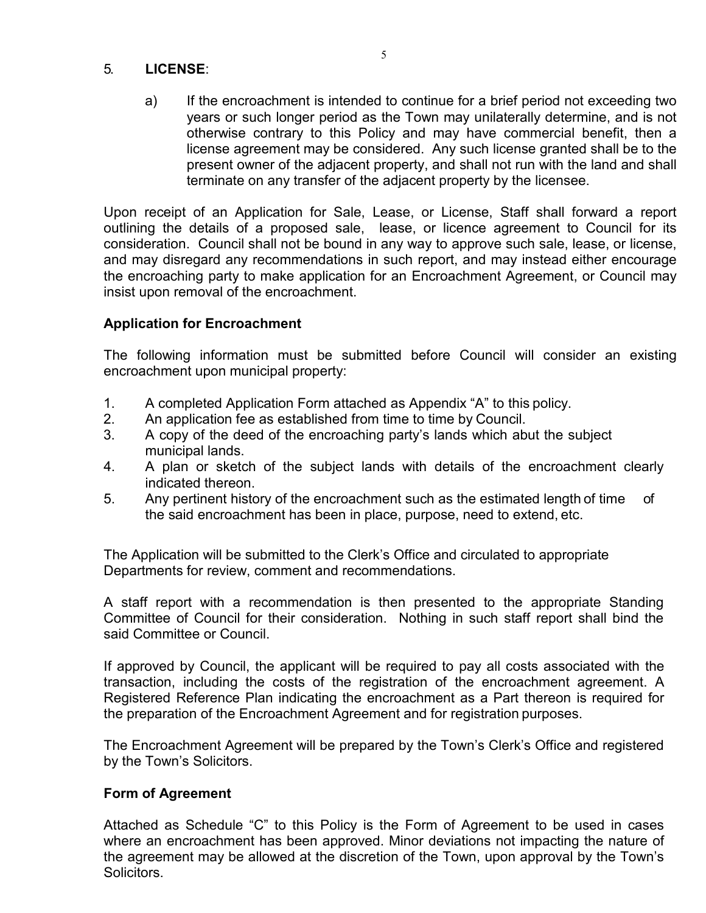#### 5. **LICENSE**:

a) If the encroachment is intended to continue for a brief period not exceeding two years or such longer period as the Town may unilaterally determine, and is not otherwise contrary to this Policy and may have commercial benefit, then a license agreement may be considered. Any such license granted shall be to the present owner of the adjacent property, and shall not run with the land and shall terminate on any transfer of the adjacent property by the licensee.

Upon receipt of an Application for Sale, Lease, or License, Staff shall forward a report outlining the details of a proposed sale, lease, or licence agreement to Council for its consideration. Council shall not be bound in any way to approve such sale, lease, or license, and may disregard any recommendations in such report, and may instead either encourage the encroaching party to make application for an Encroachment Agreement, or Council may insist upon removal of the encroachment.

### **Application for Encroachment**

The following information must be submitted before Council will consider an existing encroachment upon municipal property:

- 1. A completed Application Form attached as Appendix "A" to this policy.
- 2. An application fee as established from time to time by Council.
- 3. A copy of the deed of the encroaching party's lands which abut the subject municipal lands.
- 4. A plan or sketch of the subject lands with details of the encroachment clearly indicated thereon.
- 5. Any pertinent history of the encroachment such as the estimated length of time of the said encroachment has been in place, purpose, need to extend, etc.

The Application will be submitted to the Clerk's Office and circulated to appropriate Departments for review, comment and recommendations.

A staff report with a recommendation is then presented to the appropriate Standing Committee of Council for their consideration. Nothing in such staff report shall bind the said Committee or Council.

If approved by Council, the applicant will be required to pay all costs associated with the transaction, including the costs of the registration of the encroachment agreement. A Registered Reference Plan indicating the encroachment as a Part thereon is required for the preparation of the Encroachment Agreement and for registration purposes.

The Encroachment Agreement will be prepared by the Town's Clerk's Office and registered by the Town's Solicitors.

### **Form of Agreement**

Attached as Schedule "C" to this Policy is the Form of Agreement to be used in cases where an encroachment has been approved. Minor deviations not impacting the nature of the agreement may be allowed at the discretion of the Town, upon approval by the Town's Solicitors.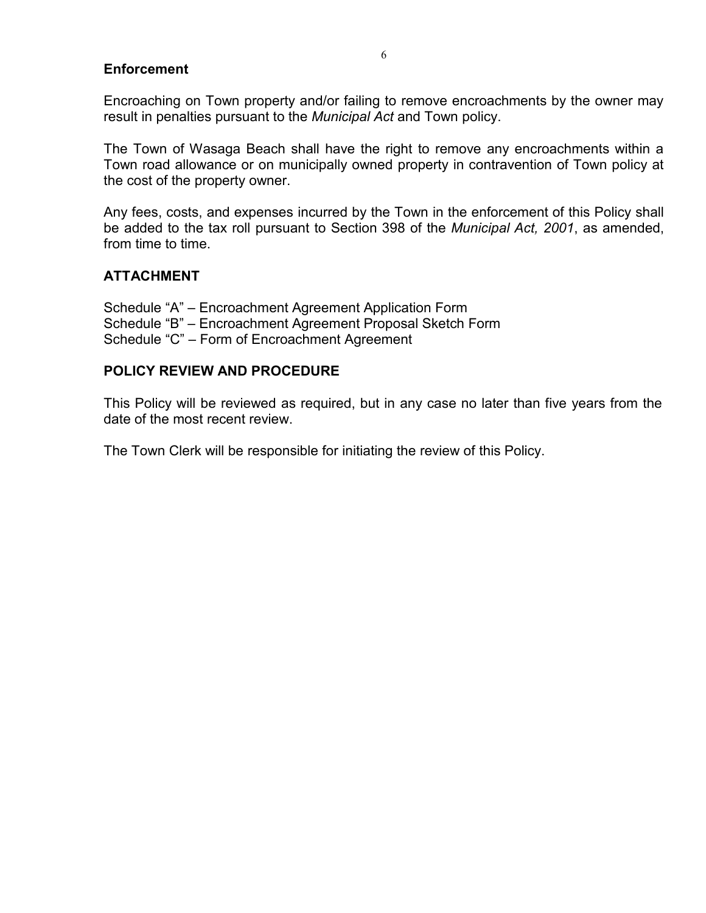#### **Enforcement**

Encroaching on Town property and/or failing to remove encroachments by the owner may result in penalties pursuant to the *Municipal Act* and Town policy.

The Town of Wasaga Beach shall have the right to remove any encroachments within a Town road allowance or on municipally owned property in contravention of Town policy at the cost of the property owner.

Any fees, costs, and expenses incurred by the Town in the enforcement of this Policy shall be added to the tax roll pursuant to Section 398 of the *Municipal Act, 2001*, as amended, from time to time.

### **ATTACHMENT**

Schedule "A" – Encroachment Agreement Application Form Schedule "B" – Encroachment Agreement Proposal Sketch Form Schedule "C" – Form of Encroachment Agreement

#### **POLICY REVIEW AND PROCEDURE**

This Policy will be reviewed as required, but in any case no later than five years from the date of the most recent review.

The Town Clerk will be responsible for initiating the review of this Policy.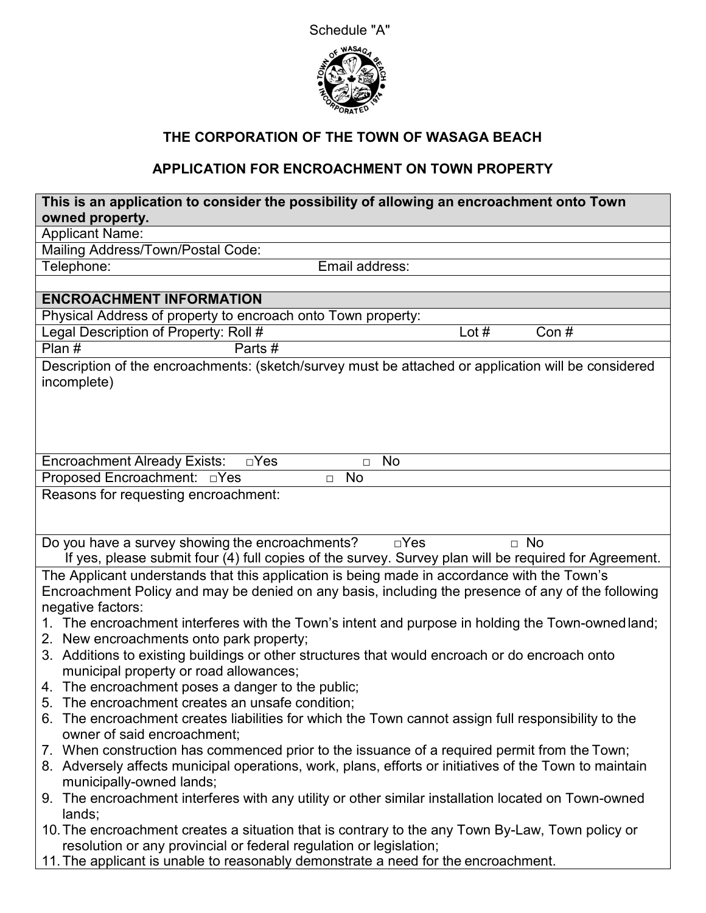



# **THE CORPORATION OF THE TOWN OF WASAGA BEACH**

## **APPLICATION FOR ENCROACHMENT ON TOWN PROPERTY**

| This is an application to consider the possibility of allowing an encroachment onto Town<br>owned property.                                                                                                            |  |  |
|------------------------------------------------------------------------------------------------------------------------------------------------------------------------------------------------------------------------|--|--|
| <b>Applicant Name:</b>                                                                                                                                                                                                 |  |  |
| Mailing Address/Town/Postal Code:                                                                                                                                                                                      |  |  |
| Telephone:<br>Email address:                                                                                                                                                                                           |  |  |
|                                                                                                                                                                                                                        |  |  |
| <b>ENCROACHMENT INFORMATION</b>                                                                                                                                                                                        |  |  |
| Physical Address of property to encroach onto Town property:                                                                                                                                                           |  |  |
| Legal Description of Property: Roll #<br>Lot $#$<br>Con#                                                                                                                                                               |  |  |
| Plan#<br>Parts#                                                                                                                                                                                                        |  |  |
| Description of the encroachments: (sketch/survey must be attached or application will be considered<br>incomplete)                                                                                                     |  |  |
| <b>Encroachment Already Exists:</b><br>$\square$ Yes<br>No<br>$\Box$                                                                                                                                                   |  |  |
| Proposed Encroachment: DYes<br>$\overline{N}$<br>$\Box$                                                                                                                                                                |  |  |
| Reasons for requesting encroachment:                                                                                                                                                                                   |  |  |
| Do you have a survey showing the encroachments?<br>$\Box$ No<br>$\Box$ Yes<br>If yes, please submit four (4) full copies of the survey. Survey plan will be required for Agreement.                                    |  |  |
| The Applicant understands that this application is being made in accordance with the Town's<br>Encroachment Policy and may be denied on any basis, including the presence of any of the following<br>negative factors: |  |  |
| 1. The encroachment interferes with the Town's intent and purpose in holding the Town-owned land;<br>2. New encroachments onto park property;                                                                          |  |  |
| 3. Additions to existing buildings or other structures that would encroach or do encroach onto<br>municipal property or road allowances;                                                                               |  |  |
| 4. The encroachment poses a danger to the public;                                                                                                                                                                      |  |  |
| The encroachment creates an unsafe condition;<br>5.                                                                                                                                                                    |  |  |
| 6. The encroachment creates liabilities for which the Town cannot assign full responsibility to the                                                                                                                    |  |  |
| owner of said encroachment;                                                                                                                                                                                            |  |  |
| 7. When construction has commenced prior to the issuance of a required permit from the Town;<br>8. Adversely affects municipal operations, work, plans, efforts or initiatives of the Town to maintain                 |  |  |
| municipally-owned lands;<br>9. The encroachment interferes with any utility or other similar installation located on Town-owned                                                                                        |  |  |
| lands;                                                                                                                                                                                                                 |  |  |
| 10. The encroachment creates a situation that is contrary to the any Town By-Law, Town policy or                                                                                                                       |  |  |
| resolution or any provincial or federal regulation or legislation;                                                                                                                                                     |  |  |
| 11. The applicant is unable to reasonably demonstrate a need for the encroachment.                                                                                                                                     |  |  |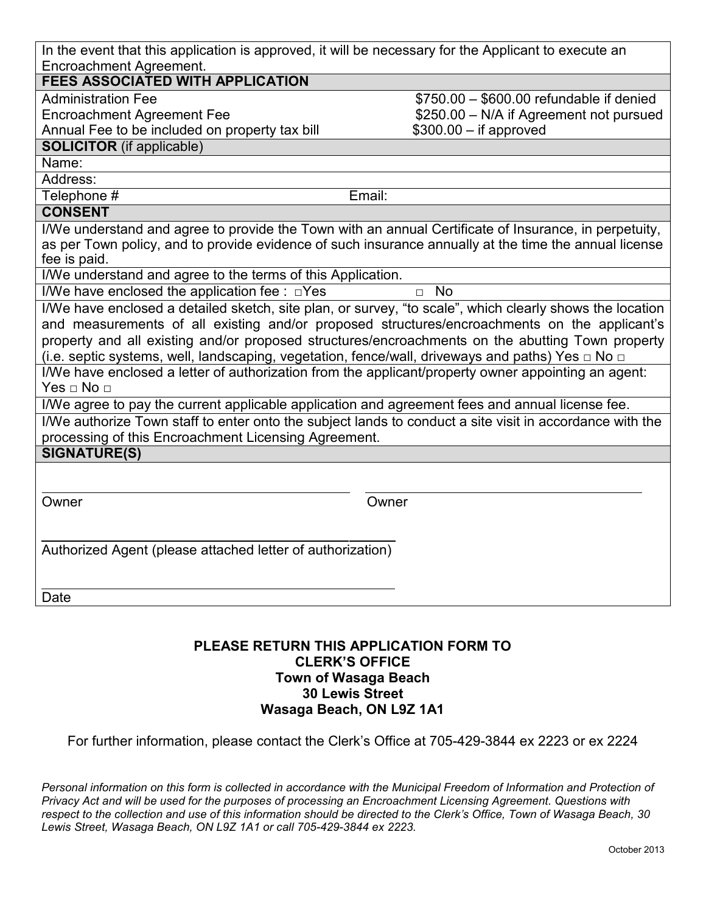| In the event that this application is approved, it will be necessary for the Applicant to execute an |  |
|------------------------------------------------------------------------------------------------------|--|
| Encroachment Agreement.                                                                              |  |

#### **FEES ASSOCIATED WITH APPLICATION**

Administration Fee

Encroachment Agreement Fee

Annual Fee to be included on property tax bill

#### **SOLICITOR** (if applicable)

Name:

Address:

Telephone # Email:

\$750.00 – \$600.00 refundable if denied \$250.00 – N/A if Agreement not pursued

\$300.00 – if approved

#### **CONSENT**

I/We understand and agree to provide the Town with an annual Certificate of Insurance, in perpetuity, as per Town policy, and to provide evidence of such insurance annually at the time the annual license fee is paid.

I/We understand and agree to the terms of this Application.

I/We have enclosed the application fee :  $□$ Yes  $□$  No

I/We have enclosed a detailed sketch, site plan, or survey, "to scale", which clearly shows the location and measurements of all existing and/or proposed structures/encroachments on the applicant's property and all existing and/or proposed structures/encroachments on the abutting Town property (i.e. septic systems, well, landscaping, vegetation, fence/wall, driveways and paths) Yes  $\Box$  No  $\Box$ 

I/We have enclosed a letter of authorization from the applicant/property owner appointing an agent: Yes □ No □

I/We agree to pay the current applicable application and agreement fees and annual license fee.

I/We authorize Town staff to enter onto the subject lands to conduct a site visit in accordance with the processing of this Encroachment Licensing Agreement.

**SIGNATURE(S)**

Owner Owner

Authorized Agent (please attached letter of authorization)

Date

#### **PLEASE RETURN THIS APPLICATION FORM TO CLERK'S OFFICE Town of Wasaga Beach 30 Lewis Street Wasaga Beach, ON L9Z 1A1**

For further information, please contact the Clerk's Office at 705-429-3844 ex 2223 or ex 2224

Personal information on this form is collected in accordance with the Municipal Freedom of Information and Protection of *Privacy Act and will be used for the purposes of processing an Encroachment Licensing Agreement. Questions with respect to the collection and use of this information should be directed to the Clerk's Office, Town of Wasaga Beach, 30 Lewis Street, Wasaga Beach, ON L9Z 1A1 or call 705-429-3844 ex 2223.*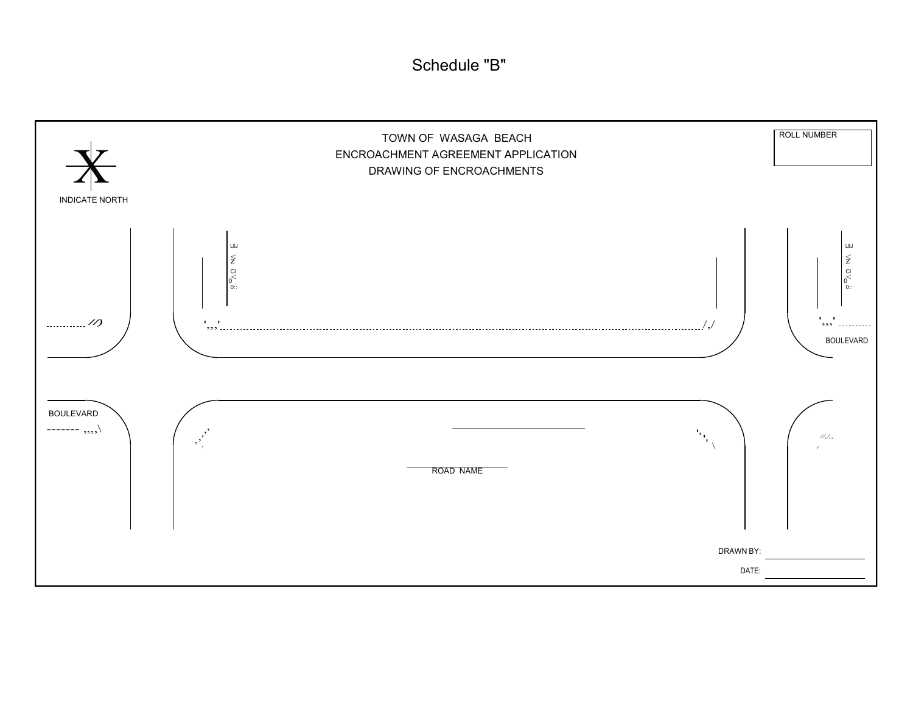Schedule "B"

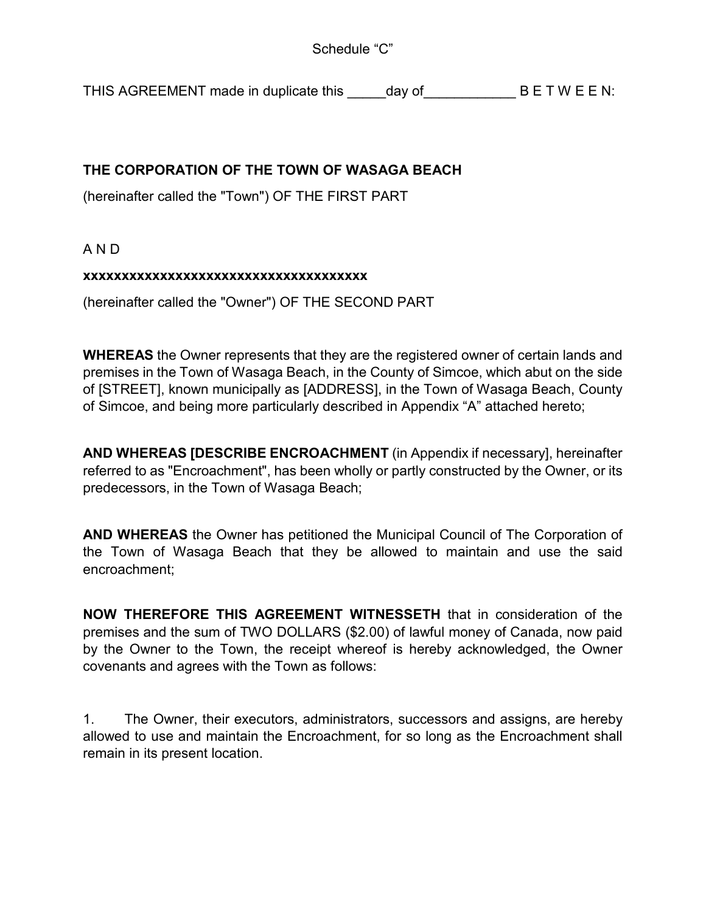THIS AGREEMENT made in duplicate this day of BET W E E N:

## **THE CORPORATION OF THE TOWN OF WASAGA BEACH**

(hereinafter called the "Town") OF THE FIRST PART

A N D

#### **xxxxxxxxxxxxxxxxxxxxxxxxxxxxxxxxxxxxx**

(hereinafter called the "Owner") OF THE SECOND PART

**WHEREAS** the Owner represents that they are the registered owner of certain lands and premises in the Town of Wasaga Beach, in the County of Simcoe, which abut on the side of [STREET], known municipally as [ADDRESS], in the Town of Wasaga Beach, County of Simcoe, and being more particularly described in Appendix "A" attached hereto;

**AND WHEREAS [DESCRIBE ENCROACHMENT** (in Appendix if necessary], hereinafter referred to as "Encroachment", has been wholly or partly constructed by the Owner, or its predecessors, in the Town of Wasaga Beach;

**AND WHEREAS** the Owner has petitioned the Municipal Council of The Corporation of the Town of Wasaga Beach that they be allowed to maintain and use the said encroachment;

**NOW THEREFORE THIS AGREEMENT WITNESSETH** that in consideration of the premises and the sum of TWO DOLLARS (\$2.00) of lawful money of Canada, now paid by the Owner to the Town, the receipt whereof is hereby acknowledged, the Owner covenants and agrees with the Town as follows:

1. The Owner, their executors, administrators, successors and assigns, are hereby allowed to use and maintain the Encroachment, for so long as the Encroachment shall remain in its present location.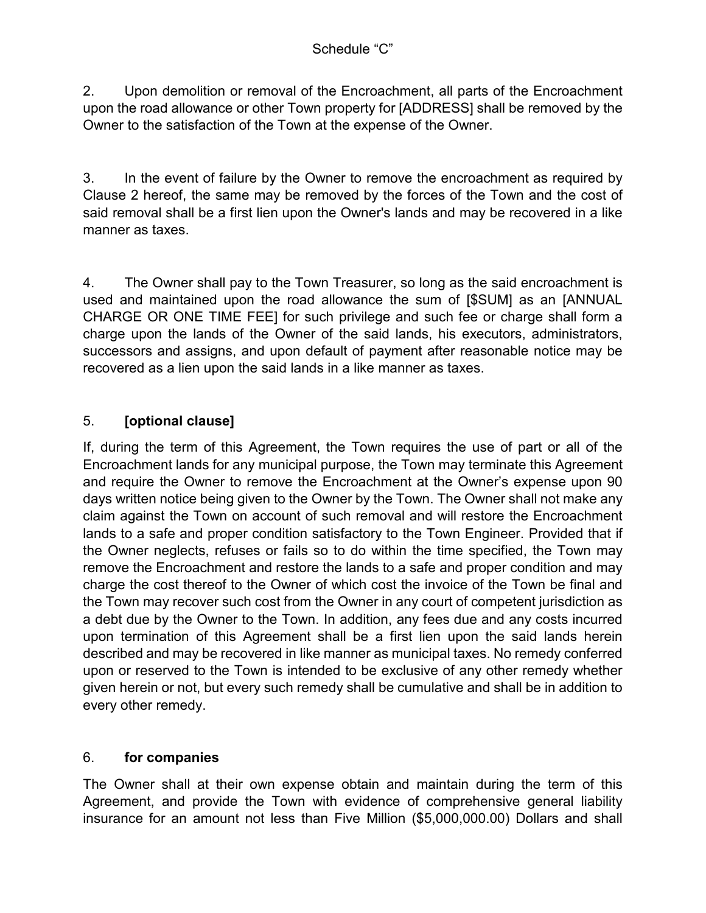2. Upon demolition or removal of the Encroachment, all parts of the Encroachment upon the road allowance or other Town property for [ADDRESS] shall be removed by the Owner to the satisfaction of the Town at the expense of the Owner.

3. In the event of failure by the Owner to remove the encroachment as required by Clause 2 hereof, the same may be removed by the forces of the Town and the cost of said removal shall be a first lien upon the Owner's lands and may be recovered in a like manner as taxes.

4. The Owner shall pay to the Town Treasurer, so long as the said encroachment is used and maintained upon the road allowance the sum of [\$SUM] as an [ANNUAL CHARGE OR ONE TIME FEE] for such privilege and such fee or charge shall form a charge upon the lands of the Owner of the said lands, his executors, administrators, successors and assigns, and upon default of payment after reasonable notice may be recovered as a lien upon the said lands in a like manner as taxes.

## 5. **[optional clause]**

If, during the term of this Agreement, the Town requires the use of part or all of the Encroachment lands for any municipal purpose, the Town may terminate this Agreement and require the Owner to remove the Encroachment at the Owner's expense upon 90 days written notice being given to the Owner by the Town. The Owner shall not make any claim against the Town on account of such removal and will restore the Encroachment lands to a safe and proper condition satisfactory to the Town Engineer. Provided that if the Owner neglects, refuses or fails so to do within the time specified, the Town may remove the Encroachment and restore the lands to a safe and proper condition and may charge the cost thereof to the Owner of which cost the invoice of the Town be final and the Town may recover such cost from the Owner in any court of competent jurisdiction as a debt due by the Owner to the Town. In addition, any fees due and any costs incurred upon termination of this Agreement shall be a first lien upon the said lands herein described and may be recovered in like manner as municipal taxes. No remedy conferred upon or reserved to the Town is intended to be exclusive of any other remedy whether given herein or not, but every such remedy shall be cumulative and shall be in addition to every other remedy.

## 6. **for companies**

The Owner shall at their own expense obtain and maintain during the term of this Agreement, and provide the Town with evidence of comprehensive general liability insurance for an amount not less than Five Million (\$5,000,000.00) Dollars and shall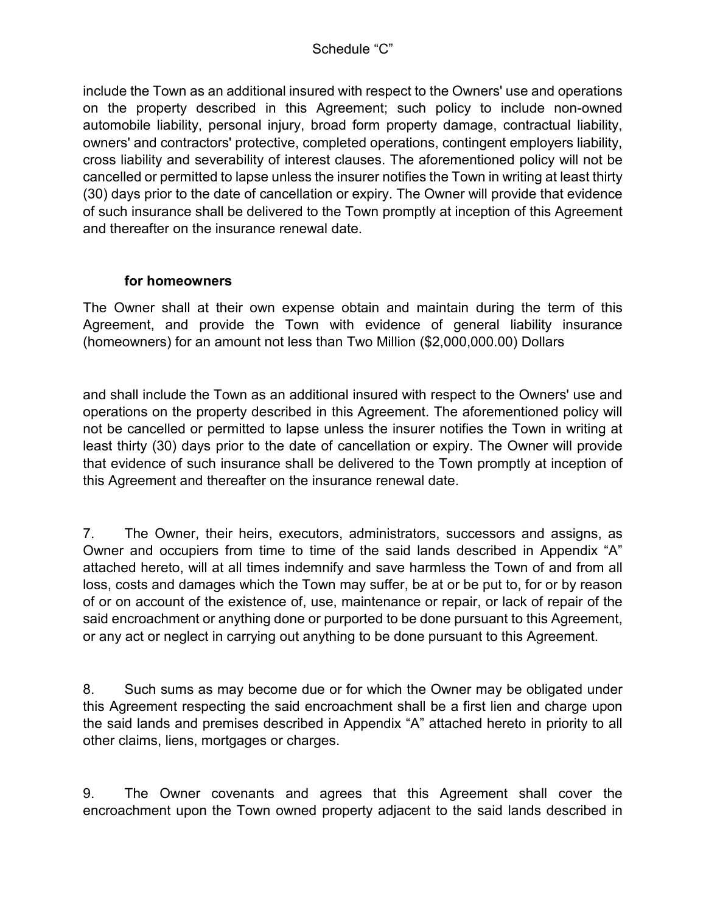include the Town as an additional insured with respect to the Owners' use and operations on the property described in this Agreement; such policy to include non-owned automobile liability, personal injury, broad form property damage, contractual liability, owners' and contractors' protective, completed operations, contingent employers liability, cross liability and severability of interest clauses. The aforementioned policy will not be cancelled or permitted to lapse unless the insurer notifies the Town in writing at least thirty (30) days prior to the date of cancellation or expiry. The Owner will provide that evidence of such insurance shall be delivered to the Town promptly at inception of this Agreement and thereafter on the insurance renewal date.

### **for homeowners**

The Owner shall at their own expense obtain and maintain during the term of this Agreement, and provide the Town with evidence of general liability insurance (homeowners) for an amount not less than Two Million (\$2,000,000.00) Dollars

and shall include the Town as an additional insured with respect to the Owners' use and operations on the property described in this Agreement. The aforementioned policy will not be cancelled or permitted to lapse unless the insurer notifies the Town in writing at least thirty (30) days prior to the date of cancellation or expiry. The Owner will provide that evidence of such insurance shall be delivered to the Town promptly at inception of this Agreement and thereafter on the insurance renewal date.

7. The Owner, their heirs, executors, administrators, successors and assigns, as Owner and occupiers from time to time of the said lands described in Appendix "A" attached hereto, will at all times indemnify and save harmless the Town of and from all loss, costs and damages which the Town may suffer, be at or be put to, for or by reason of or on account of the existence of, use, maintenance or repair, or lack of repair of the said encroachment or anything done or purported to be done pursuant to this Agreement, or any act or neglect in carrying out anything to be done pursuant to this Agreement.

8. Such sums as may become due or for which the Owner may be obligated under this Agreement respecting the said encroachment shall be a first lien and charge upon the said lands and premises described in Appendix "A" attached hereto in priority to all other claims, liens, mortgages or charges.

9. The Owner covenants and agrees that this Agreement shall cover the encroachment upon the Town owned property adjacent to the said lands described in